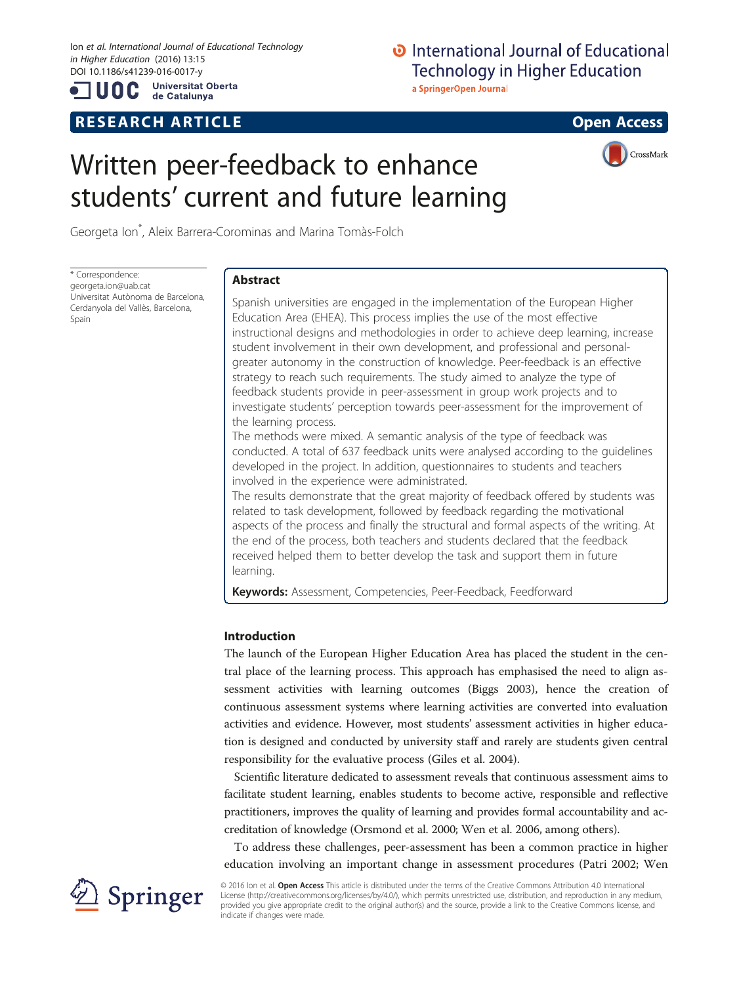Ion et al. International Journal of Educational Technology in Higher Education (2016) 13:15 DOI 10.1186/s41239-016-0017-y

UOC

**Universitat Oberta** de Catalunya

# R E S EAR CH A R TIC L E Open Access

# **D** International Journal of Educational **Technology in Higher Education**

a SpringerOpen Journal

# Written peer-feedback to enhance students' current and future learning



Georgeta Ion\* , Aleix Barrera-Corominas and Marina Tomàs-Folch

\* Correspondence: [georgeta.ion@uab.cat](mailto:georgeta.ion@uab.cat) Universitat Autònoma de Barcelona, Cerdanyola del Vallès, Barcelona, Spain

## Abstract

Spanish universities are engaged in the implementation of the European Higher Education Area (EHEA). This process implies the use of the most effective instructional designs and methodologies in order to achieve deep learning, increase student involvement in their own development, and professional and personalgreater autonomy in the construction of knowledge. Peer-feedback is an effective strategy to reach such requirements. The study aimed to analyze the type of feedback students provide in peer-assessment in group work projects and to investigate students' perception towards peer-assessment for the improvement of the learning process.

The methods were mixed. A semantic analysis of the type of feedback was conducted. A total of 637 feedback units were analysed according to the guidelines developed in the project. In addition, questionnaires to students and teachers involved in the experience were administrated.

The results demonstrate that the great majority of feedback offered by students was related to task development, followed by feedback regarding the motivational aspects of the process and finally the structural and formal aspects of the writing. At the end of the process, both teachers and students declared that the feedback received helped them to better develop the task and support them in future learning.

Keywords: Assessment, Competencies, Peer-Feedback, Feedforward

### Introduction

The launch of the European Higher Education Area has placed the student in the central place of the learning process. This approach has emphasised the need to align assessment activities with learning outcomes (Biggs [2003](#page-9-0)), hence the creation of continuous assessment systems where learning activities are converted into evaluation activities and evidence. However, most students' assessment activities in higher education is designed and conducted by university staff and rarely are students given central responsibility for the evaluative process (Giles et al. [2004\)](#page-9-0).

Scientific literature dedicated to assessment reveals that continuous assessment aims to facilitate student learning, enables students to become active, responsible and reflective practitioners, improves the quality of learning and provides formal accountability and accreditation of knowledge (Orsmond et al. [2000](#page-9-0); Wen et al. [2006,](#page-10-0) among others).

To address these challenges, peer-assessment has been a common practice in higher education involving an important change in assessment procedures (Patri [2002;](#page-9-0) Wen



© 2016 Ion et al. **Open Access** This article is distributed under the terms of the Creative Commons Attribution 4.0 International License [\(http://creativecommons.org/licenses/by/4.0/](http://creativecommons.org/licenses/by/4.0/)), which permits unrestricted use, distribution, and reproduction in any medium, provided you give appropriate credit to the original author(s) and the source, provide a link to the Creative Commons license, and indicate if changes were made.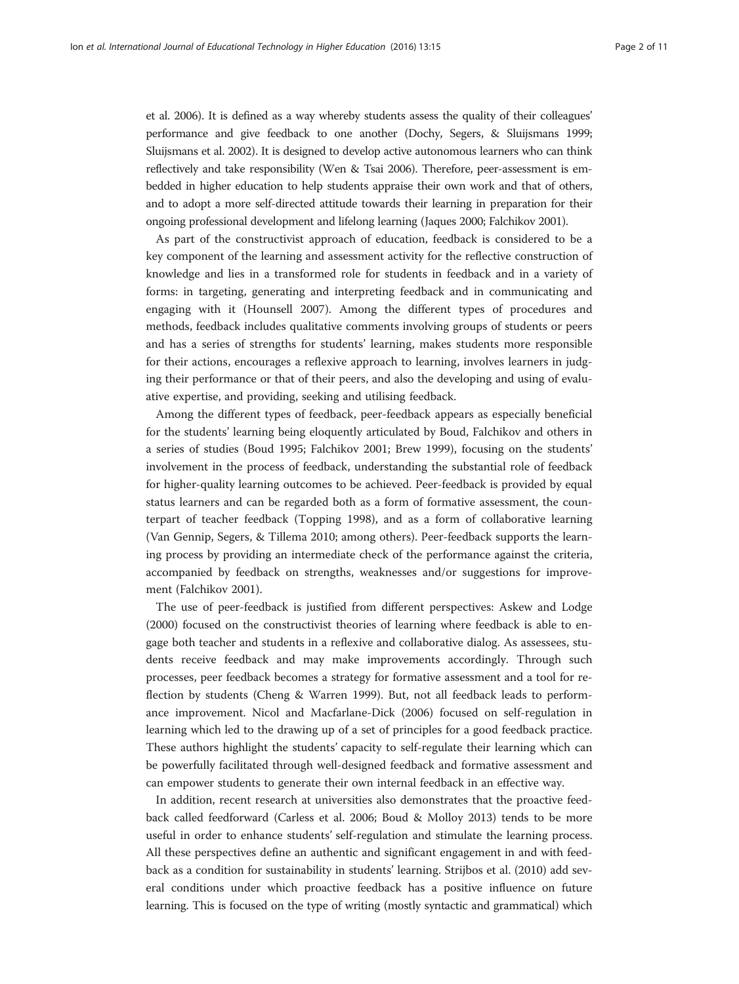et al. [2006](#page-10-0)). It is defined as a way whereby students assess the quality of their colleagues' performance and give feedback to one another (Dochy, Segers, & Sluijsmans [1999](#page-9-0); Sluijsmans et al. [2002\)](#page-10-0). It is designed to develop active autonomous learners who can think reflectively and take responsibility (Wen & Tsai [2006\)](#page-10-0). Therefore, peer-assessment is embedded in higher education to help students appraise their own work and that of others, and to adopt a more self-directed attitude towards their learning in preparation for their ongoing professional development and lifelong learning (Jaques [2000](#page-9-0); Falchikov [2001](#page-9-0)).

As part of the constructivist approach of education, feedback is considered to be a key component of the learning and assessment activity for the reflective construction of knowledge and lies in a transformed role for students in feedback and in a variety of forms: in targeting, generating and interpreting feedback and in communicating and engaging with it (Hounsell [2007\)](#page-9-0). Among the different types of procedures and methods, feedback includes qualitative comments involving groups of students or peers and has a series of strengths for students' learning, makes students more responsible for their actions, encourages a reflexive approach to learning, involves learners in judging their performance or that of their peers, and also the developing and using of evaluative expertise, and providing, seeking and utilising feedback.

Among the different types of feedback, peer-feedback appears as especially beneficial for the students' learning being eloquently articulated by Boud, Falchikov and others in a series of studies (Boud [1995;](#page-9-0) Falchikov [2001;](#page-9-0) Brew [1999\)](#page-9-0), focusing on the students' involvement in the process of feedback, understanding the substantial role of feedback for higher-quality learning outcomes to be achieved. Peer-feedback is provided by equal status learners and can be regarded both as a form of formative assessment, the counterpart of teacher feedback (Topping [1998](#page-10-0)), and as a form of collaborative learning (Van Gennip, Segers, & Tillema [2010](#page-10-0); among others). Peer-feedback supports the learning process by providing an intermediate check of the performance against the criteria, accompanied by feedback on strengths, weaknesses and/or suggestions for improvement (Falchikov [2001](#page-9-0)).

The use of peer-feedback is justified from different perspectives: Askew and Lodge ([2000](#page-9-0)) focused on the constructivist theories of learning where feedback is able to engage both teacher and students in a reflexive and collaborative dialog. As assessees, students receive feedback and may make improvements accordingly. Through such processes, peer feedback becomes a strategy for formative assessment and a tool for reflection by students (Cheng & Warren [1999\)](#page-9-0). But, not all feedback leads to performance improvement. Nicol and Macfarlane-Dick ([2006](#page-9-0)) focused on self-regulation in learning which led to the drawing up of a set of principles for a good feedback practice. These authors highlight the students' capacity to self-regulate their learning which can be powerfully facilitated through well-designed feedback and formative assessment and can empower students to generate their own internal feedback in an effective way.

In addition, recent research at universities also demonstrates that the proactive feedback called feedforward (Carless et al. [2006;](#page-9-0) Boud & Molloy [2013](#page-9-0)) tends to be more useful in order to enhance students' self-regulation and stimulate the learning process. All these perspectives define an authentic and significant engagement in and with feedback as a condition for sustainability in students' learning. Strijbos et al. ([2010](#page-10-0)) add several conditions under which proactive feedback has a positive influence on future learning. This is focused on the type of writing (mostly syntactic and grammatical) which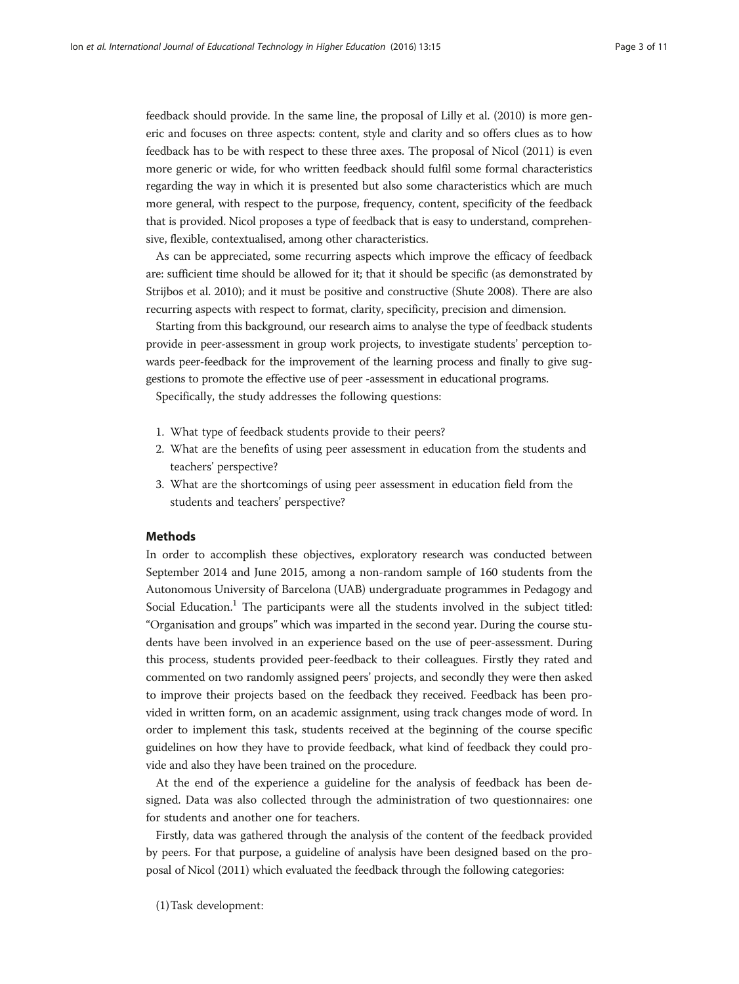feedback should provide. In the same line, the proposal of Lilly et al. [\(2010](#page-9-0)) is more generic and focuses on three aspects: content, style and clarity and so offers clues as to how feedback has to be with respect to these three axes. The proposal of Nicol [\(2011\)](#page-9-0) is even more generic or wide, for who written feedback should fulfil some formal characteristics regarding the way in which it is presented but also some characteristics which are much more general, with respect to the purpose, frequency, content, specificity of the feedback that is provided. Nicol proposes a type of feedback that is easy to understand, comprehensive, flexible, contextualised, among other characteristics.

As can be appreciated, some recurring aspects which improve the efficacy of feedback are: sufficient time should be allowed for it; that it should be specific (as demonstrated by Strijbos et al. [2010](#page-10-0)); and it must be positive and constructive (Shute [2008](#page-10-0)). There are also recurring aspects with respect to format, clarity, specificity, precision and dimension.

Starting from this background, our research aims to analyse the type of feedback students provide in peer-assessment in group work projects, to investigate students' perception towards peer-feedback for the improvement of the learning process and finally to give suggestions to promote the effective use of peer -assessment in educational programs.

Specifically, the study addresses the following questions:

- 1. What type of feedback students provide to their peers?
- 2. What are the benefits of using peer assessment in education from the students and teachers' perspective?
- 3. What are the shortcomings of using peer assessment in education field from the students and teachers' perspective?

#### Methods

In order to accomplish these objectives, exploratory research was conducted between September 2014 and June 2015, among a non-random sample of 160 students from the Autonomous University of Barcelona (UAB) undergraduate programmes in Pedagogy and Social Education.<sup>1</sup> The participants were all the students involved in the subject titled: "Organisation and groups" which was imparted in the second year. During the course students have been involved in an experience based on the use of peer-assessment. During this process, students provided peer-feedback to their colleagues. Firstly they rated and commented on two randomly assigned peers' projects, and secondly they were then asked to improve their projects based on the feedback they received. Feedback has been provided in written form, on an academic assignment, using track changes mode of word. In order to implement this task, students received at the beginning of the course specific guidelines on how they have to provide feedback, what kind of feedback they could provide and also they have been trained on the procedure.

At the end of the experience a guideline for the analysis of feedback has been designed. Data was also collected through the administration of two questionnaires: one for students and another one for teachers.

Firstly, data was gathered through the analysis of the content of the feedback provided by peers. For that purpose, a guideline of analysis have been designed based on the proposal of Nicol ([2011\)](#page-9-0) which evaluated the feedback through the following categories:

(1)Task development: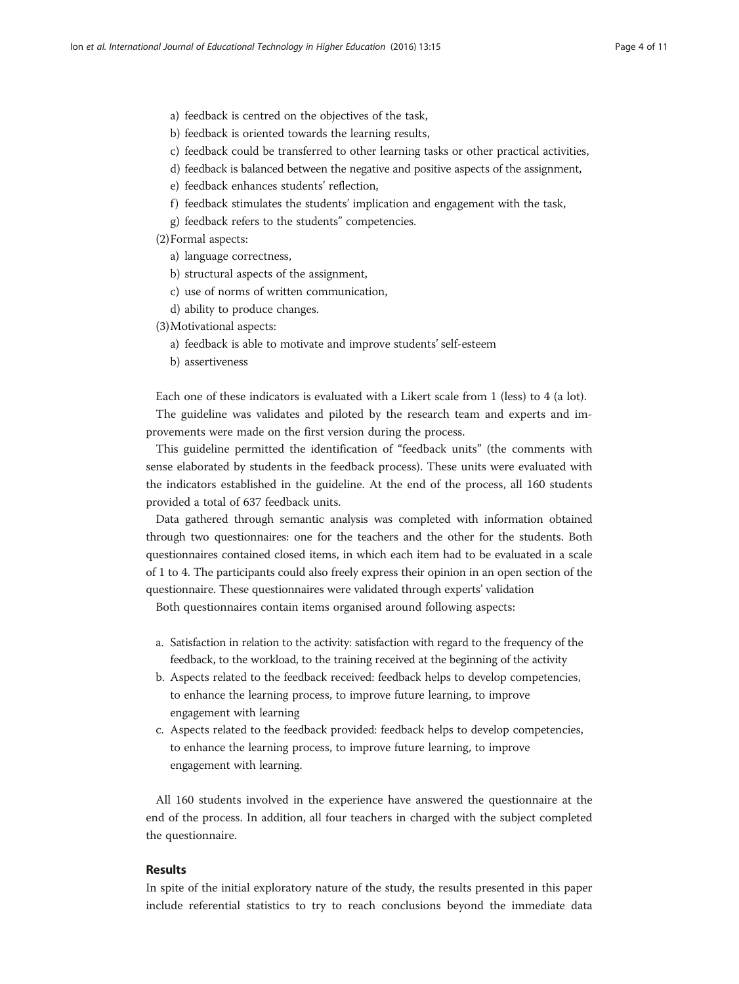- a) feedback is centred on the objectives of the task,
- b) feedback is oriented towards the learning results,
- c) feedback could be transferred to other learning tasks or other practical activities,
- d) feedback is balanced between the negative and positive aspects of the assignment,
- e) feedback enhances students' reflection,
- f) feedback stimulates the students' implication and engagement with the task,
- g) feedback refers to the students" competencies.
- (2)Formal aspects:
	- a) language correctness,
	- b) structural aspects of the assignment,
	- c) use of norms of written communication,
	- d) ability to produce changes.

(3)Motivational aspects:

- a) feedback is able to motivate and improve students' self-esteem
- b) assertiveness

Each one of these indicators is evaluated with a Likert scale from 1 (less) to 4 (a lot).

The guideline was validates and piloted by the research team and experts and improvements were made on the first version during the process.

This guideline permitted the identification of "feedback units" (the comments with sense elaborated by students in the feedback process). These units were evaluated with the indicators established in the guideline. At the end of the process, all 160 students provided a total of 637 feedback units.

Data gathered through semantic analysis was completed with information obtained through two questionnaires: one for the teachers and the other for the students. Both questionnaires contained closed items, in which each item had to be evaluated in a scale of 1 to 4. The participants could also freely express their opinion in an open section of the questionnaire. These questionnaires were validated through experts' validation

Both questionnaires contain items organised around following aspects:

- a. Satisfaction in relation to the activity: satisfaction with regard to the frequency of the feedback, to the workload, to the training received at the beginning of the activity
- b. Aspects related to the feedback received: feedback helps to develop competencies, to enhance the learning process, to improve future learning, to improve engagement with learning
- c. Aspects related to the feedback provided: feedback helps to develop competencies, to enhance the learning process, to improve future learning, to improve engagement with learning.

All 160 students involved in the experience have answered the questionnaire at the end of the process. In addition, all four teachers in charged with the subject completed the questionnaire.

#### Results

In spite of the initial exploratory nature of the study, the results presented in this paper include referential statistics to try to reach conclusions beyond the immediate data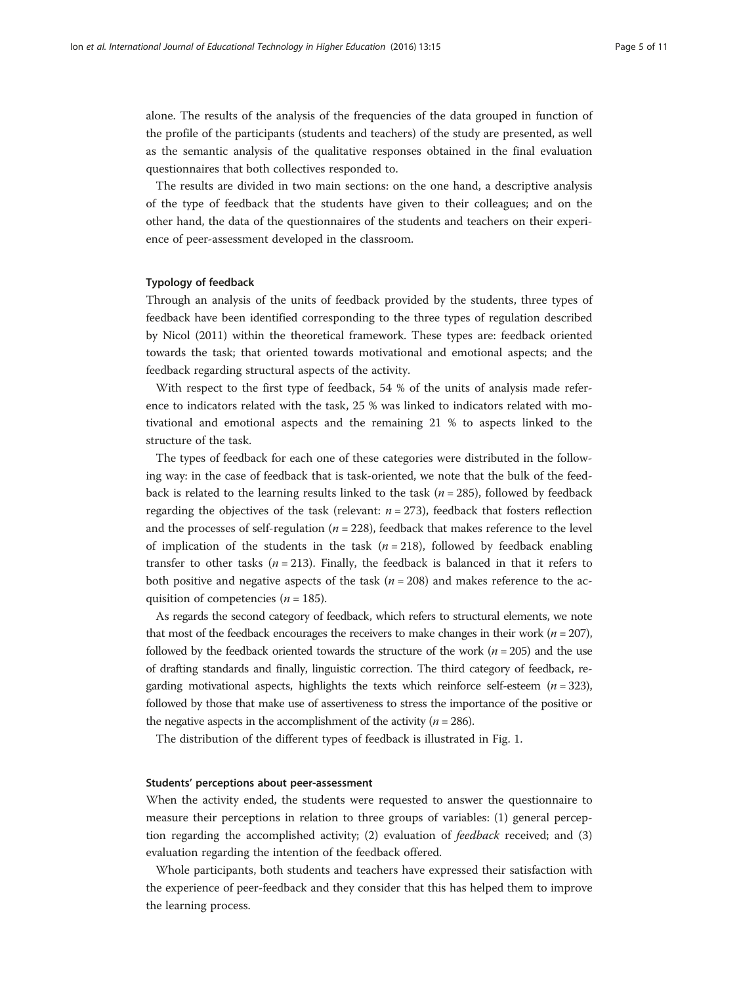alone. The results of the analysis of the frequencies of the data grouped in function of the profile of the participants (students and teachers) of the study are presented, as well as the semantic analysis of the qualitative responses obtained in the final evaluation questionnaires that both collectives responded to.

The results are divided in two main sections: on the one hand, a descriptive analysis of the type of feedback that the students have given to their colleagues; and on the other hand, the data of the questionnaires of the students and teachers on their experience of peer-assessment developed in the classroom.

#### Typology of feedback

Through an analysis of the units of feedback provided by the students, three types of feedback have been identified corresponding to the three types of regulation described by Nicol ([2011](#page-9-0)) within the theoretical framework. These types are: feedback oriented towards the task; that oriented towards motivational and emotional aspects; and the feedback regarding structural aspects of the activity.

With respect to the first type of feedback, 54 % of the units of analysis made reference to indicators related with the task, 25 % was linked to indicators related with motivational and emotional aspects and the remaining 21 % to aspects linked to the structure of the task.

The types of feedback for each one of these categories were distributed in the following way: in the case of feedback that is task-oriented, we note that the bulk of the feedback is related to the learning results linked to the task ( $n = 285$ ), followed by feedback regarding the objectives of the task (relevant:  $n = 273$ ), feedback that fosters reflection and the processes of self-regulation ( $n = 228$ ), feedback that makes reference to the level of implication of the students in the task  $(n = 218)$ , followed by feedback enabling transfer to other tasks ( $n = 213$ ). Finally, the feedback is balanced in that it refers to both positive and negative aspects of the task ( $n = 208$ ) and makes reference to the acquisition of competencies ( $n = 185$ ).

As regards the second category of feedback, which refers to structural elements, we note that most of the feedback encourages the receivers to make changes in their work ( $n = 207$ ), followed by the feedback oriented towards the structure of the work ( $n = 205$ ) and the use of drafting standards and finally, linguistic correction. The third category of feedback, regarding motivational aspects, highlights the texts which reinforce self-esteem  $(n = 323)$ , followed by those that make use of assertiveness to stress the importance of the positive or the negative aspects in the accomplishment of the activity ( $n = 286$ ).

The distribution of the different types of feedback is illustrated in Fig. [1](#page-5-0).

#### Students' perceptions about peer-assessment

When the activity ended, the students were requested to answer the questionnaire to measure their perceptions in relation to three groups of variables: (1) general perception regarding the accomplished activity; (2) evaluation of feedback received; and (3) evaluation regarding the intention of the feedback offered.

Whole participants, both students and teachers have expressed their satisfaction with the experience of peer-feedback and they consider that this has helped them to improve the learning process.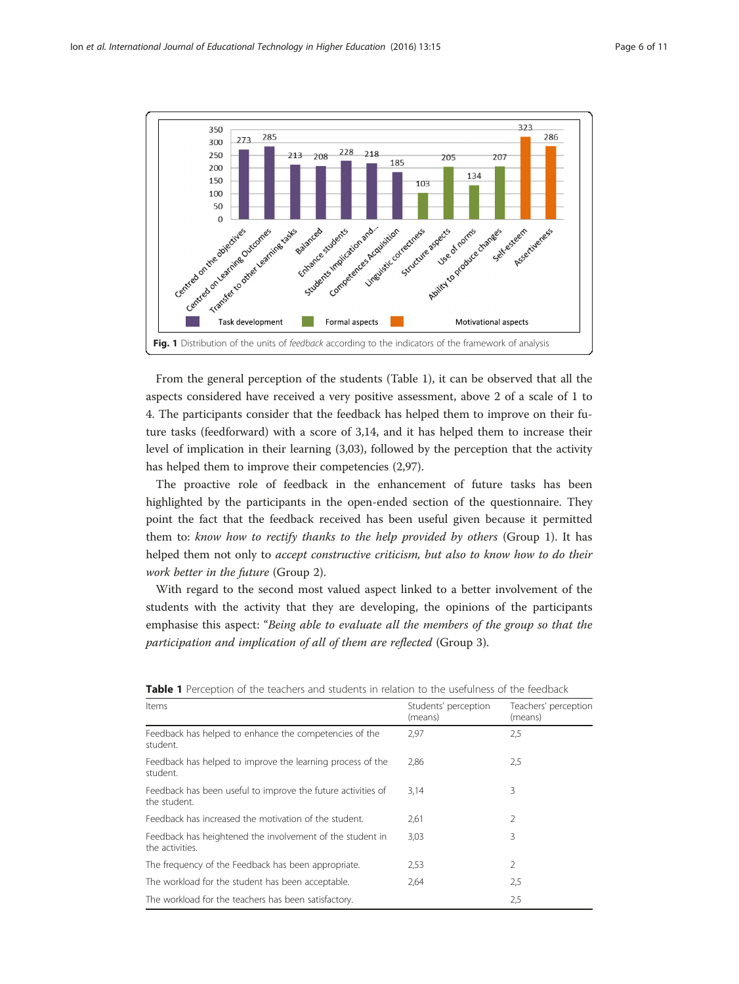<span id="page-5-0"></span>

From the general perception of the students (Table 1), it can be observed that all the aspects considered have received a very positive assessment, above 2 of a scale of 1 to 4. The participants consider that the feedback has helped them to improve on their future tasks (feedforward) with a score of 3,14, and it has helped them to increase their level of implication in their learning (3,03), followed by the perception that the activity has helped them to improve their competencies (2,97).

The proactive role of feedback in the enhancement of future tasks has been highlighted by the participants in the open-ended section of the questionnaire. They point the fact that the feedback received has been useful given because it permitted them to: know how to rectify thanks to the help provided by others (Group 1). It has helped them not only to *accept constructive criticism, but also to know how to do their* work better in the future (Group 2).

With regard to the second most valued aspect linked to a better involvement of the students with the activity that they are developing, the opinions of the participants emphasise this aspect: "Being able to evaluate all the members of the group so that the participation and implication of all of them are reflected (Group 3).

| Items                                                                        | Students' perception<br>(means) | Teachers' perception<br>(means) |
|------------------------------------------------------------------------------|---------------------------------|---------------------------------|
|                                                                              |                                 |                                 |
| Feedback has helped to improve the learning process of the<br>student.       | 2,86                            | 2,5                             |
| Feedback has been useful to improve the future activities of<br>the student. | 3,14                            | 3                               |
| Feedback has increased the motivation of the student.                        | 2,61                            | 2                               |
| Feedback has heightened the involvement of the student in<br>the activities. | 3,03                            | 3                               |
| The frequency of the Feedback has been appropriate.                          | 2,53                            | $\mathfrak{D}$                  |
| The workload for the student has been acceptable.                            | 2,64                            | 2,5                             |
| The workload for the teachers has been satisfactory.                         |                                 | 2,5                             |

Table 1 Perception of the teachers and students in relation to the usefulness of the feedback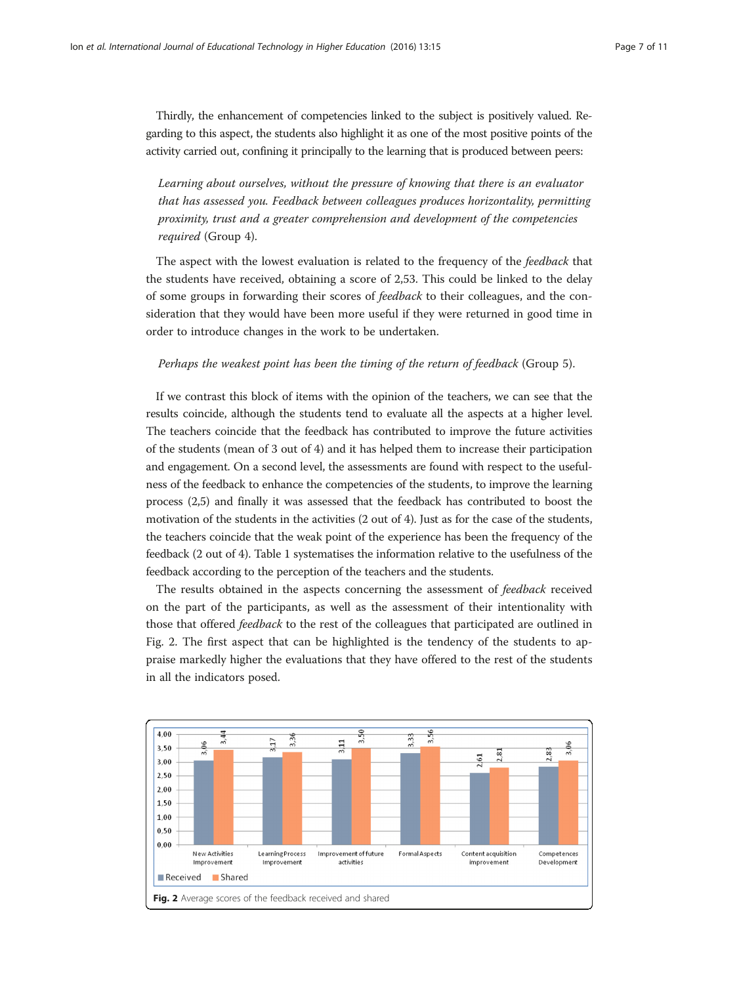Thirdly, the enhancement of competencies linked to the subject is positively valued. Regarding to this aspect, the students also highlight it as one of the most positive points of the activity carried out, confining it principally to the learning that is produced between peers:

Learning about ourselves, without the pressure of knowing that there is an evaluator that has assessed you. Feedback between colleagues produces horizontality, permitting proximity, trust and a greater comprehension and development of the competencies required (Group 4).

The aspect with the lowest evaluation is related to the frequency of the *feedback* that the students have received, obtaining a score of 2,53. This could be linked to the delay of some groups in forwarding their scores of feedback to their colleagues, and the consideration that they would have been more useful if they were returned in good time in order to introduce changes in the work to be undertaken.

#### Perhaps the weakest point has been the timing of the return of feedback (Group 5).

If we contrast this block of items with the opinion of the teachers, we can see that the results coincide, although the students tend to evaluate all the aspects at a higher level. The teachers coincide that the feedback has contributed to improve the future activities of the students (mean of 3 out of 4) and it has helped them to increase their participation and engagement. On a second level, the assessments are found with respect to the usefulness of the feedback to enhance the competencies of the students, to improve the learning process (2,5) and finally it was assessed that the feedback has contributed to boost the motivation of the students in the activities (2 out of 4). Just as for the case of the students, the teachers coincide that the weak point of the experience has been the frequency of the feedback (2 out of 4). Table [1](#page-5-0) systematises the information relative to the usefulness of the feedback according to the perception of the teachers and the students.

The results obtained in the aspects concerning the assessment of *feedback* received on the part of the participants, as well as the assessment of their intentionality with those that offered feedback to the rest of the colleagues that participated are outlined in Fig. 2. The first aspect that can be highlighted is the tendency of the students to appraise markedly higher the evaluations that they have offered to the rest of the students in all the indicators posed.

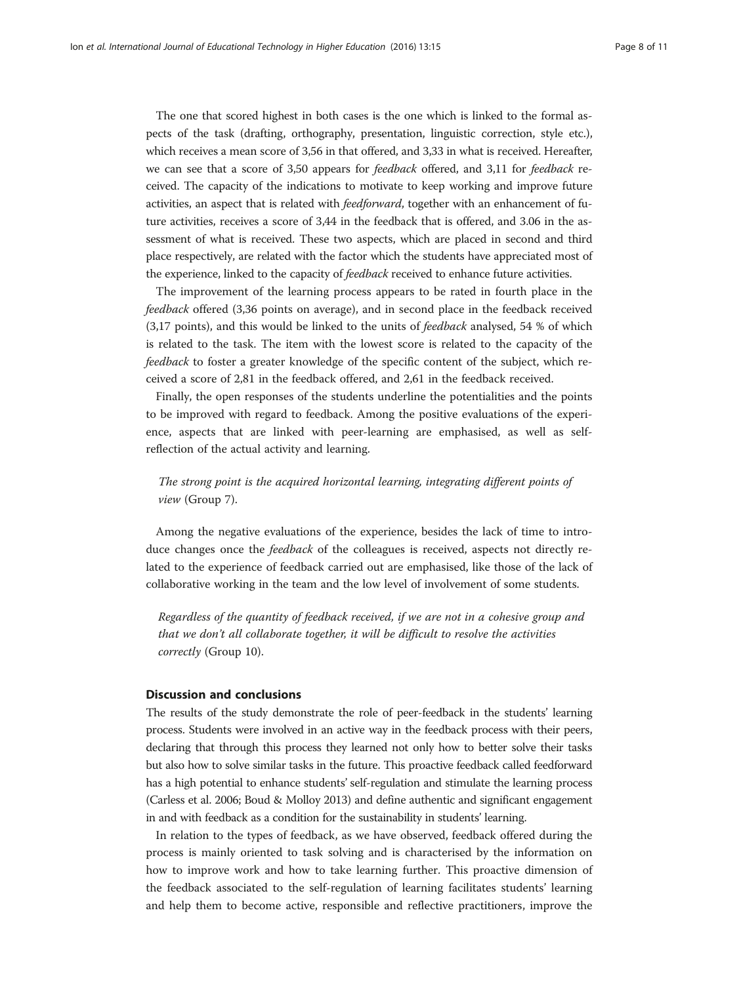The one that scored highest in both cases is the one which is linked to the formal aspects of the task (drafting, orthography, presentation, linguistic correction, style etc.), which receives a mean score of 3,56 in that offered, and 3,33 in what is received. Hereafter, we can see that a score of 3,50 appears for feedback offered, and 3,11 for feedback received. The capacity of the indications to motivate to keep working and improve future activities, an aspect that is related with feedforward, together with an enhancement of future activities, receives a score of 3,44 in the feedback that is offered, and 3.06 in the assessment of what is received. These two aspects, which are placed in second and third place respectively, are related with the factor which the students have appreciated most of the experience, linked to the capacity of *feedback* received to enhance future activities.

The improvement of the learning process appears to be rated in fourth place in the feedback offered (3,36 points on average), and in second place in the feedback received (3,17 points), and this would be linked to the units of feedback analysed, 54 % of which is related to the task. The item with the lowest score is related to the capacity of the feedback to foster a greater knowledge of the specific content of the subject, which received a score of 2,81 in the feedback offered, and 2,61 in the feedback received.

Finally, the open responses of the students underline the potentialities and the points to be improved with regard to feedback. Among the positive evaluations of the experience, aspects that are linked with peer-learning are emphasised, as well as selfreflection of the actual activity and learning.

The strong point is the acquired horizontal learning, integrating different points of view (Group 7).

Among the negative evaluations of the experience, besides the lack of time to introduce changes once the *feedback* of the colleagues is received, aspects not directly related to the experience of feedback carried out are emphasised, like those of the lack of collaborative working in the team and the low level of involvement of some students.

Regardless of the quantity of feedback received, if we are not in a cohesive group and that we don't all collaborate together, it will be difficult to resolve the activities correctly (Group 10).

#### Discussion and conclusions

The results of the study demonstrate the role of peer-feedback in the students' learning process. Students were involved in an active way in the feedback process with their peers, declaring that through this process they learned not only how to better solve their tasks but also how to solve similar tasks in the future. This proactive feedback called feedforward has a high potential to enhance students' self-regulation and stimulate the learning process (Carless et al. [2006](#page-9-0); Boud & Molloy [2013](#page-9-0)) and define authentic and significant engagement in and with feedback as a condition for the sustainability in students' learning.

In relation to the types of feedback, as we have observed, feedback offered during the process is mainly oriented to task solving and is characterised by the information on how to improve work and how to take learning further. This proactive dimension of the feedback associated to the self-regulation of learning facilitates students' learning and help them to become active, responsible and reflective practitioners, improve the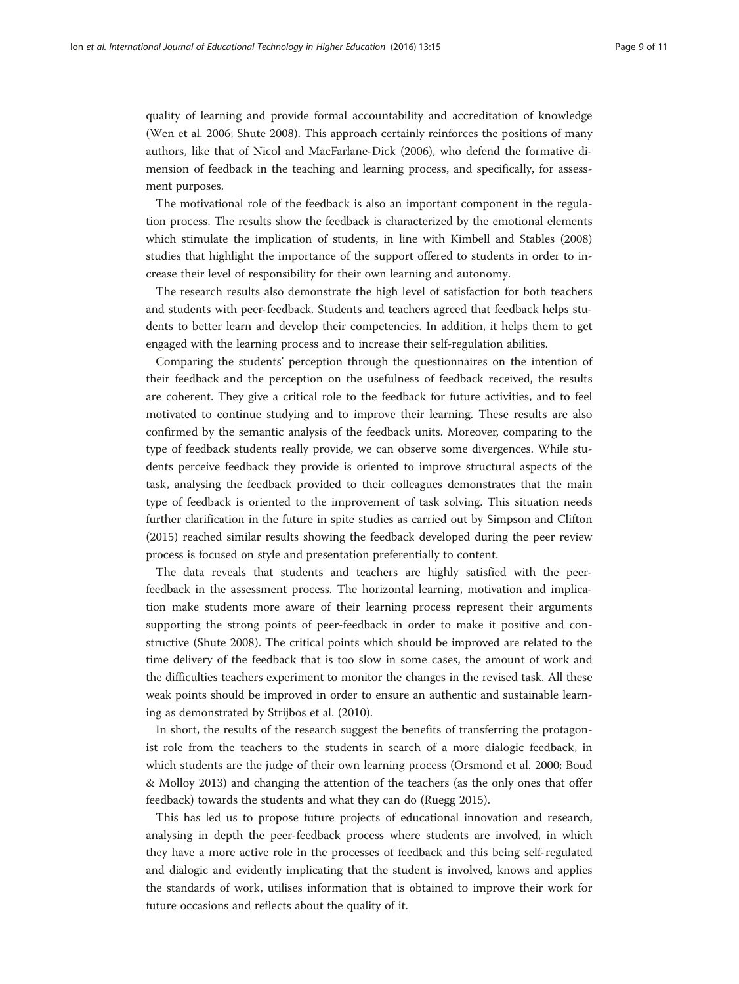quality of learning and provide formal accountability and accreditation of knowledge (Wen et al. [2006;](#page-10-0) Shute [2008\)](#page-10-0). This approach certainly reinforces the positions of many authors, like that of Nicol and MacFarlane-Dick [\(2006\)](#page-9-0), who defend the formative dimension of feedback in the teaching and learning process, and specifically, for assessment purposes.

The motivational role of the feedback is also an important component in the regulation process. The results show the feedback is characterized by the emotional elements which stimulate the implication of students, in line with Kimbell and Stables ([2008](#page-9-0)) studies that highlight the importance of the support offered to students in order to increase their level of responsibility for their own learning and autonomy.

The research results also demonstrate the high level of satisfaction for both teachers and students with peer-feedback. Students and teachers agreed that feedback helps students to better learn and develop their competencies. In addition, it helps them to get engaged with the learning process and to increase their self-regulation abilities.

Comparing the students' perception through the questionnaires on the intention of their feedback and the perception on the usefulness of feedback received, the results are coherent. They give a critical role to the feedback for future activities, and to feel motivated to continue studying and to improve their learning. These results are also confirmed by the semantic analysis of the feedback units. Moreover, comparing to the type of feedback students really provide, we can observe some divergences. While students perceive feedback they provide is oriented to improve structural aspects of the task, analysing the feedback provided to their colleagues demonstrates that the main type of feedback is oriented to the improvement of task solving. This situation needs further clarification in the future in spite studies as carried out by Simpson and Clifton ([2015](#page-10-0)) reached similar results showing the feedback developed during the peer review process is focused on style and presentation preferentially to content.

The data reveals that students and teachers are highly satisfied with the peerfeedback in the assessment process. The horizontal learning, motivation and implication make students more aware of their learning process represent their arguments supporting the strong points of peer-feedback in order to make it positive and constructive (Shute [2008](#page-10-0)). The critical points which should be improved are related to the time delivery of the feedback that is too slow in some cases, the amount of work and the difficulties teachers experiment to monitor the changes in the revised task. All these weak points should be improved in order to ensure an authentic and sustainable learning as demonstrated by Strijbos et al. ([2010](#page-10-0)).

In short, the results of the research suggest the benefits of transferring the protagonist role from the teachers to the students in search of a more dialogic feedback, in which students are the judge of their own learning process (Orsmond et al. [2000;](#page-9-0) Boud & Molloy [2013\)](#page-9-0) and changing the attention of the teachers (as the only ones that offer feedback) towards the students and what they can do (Ruegg [2015\)](#page-9-0).

This has led us to propose future projects of educational innovation and research, analysing in depth the peer-feedback process where students are involved, in which they have a more active role in the processes of feedback and this being self-regulated and dialogic and evidently implicating that the student is involved, knows and applies the standards of work, utilises information that is obtained to improve their work for future occasions and reflects about the quality of it.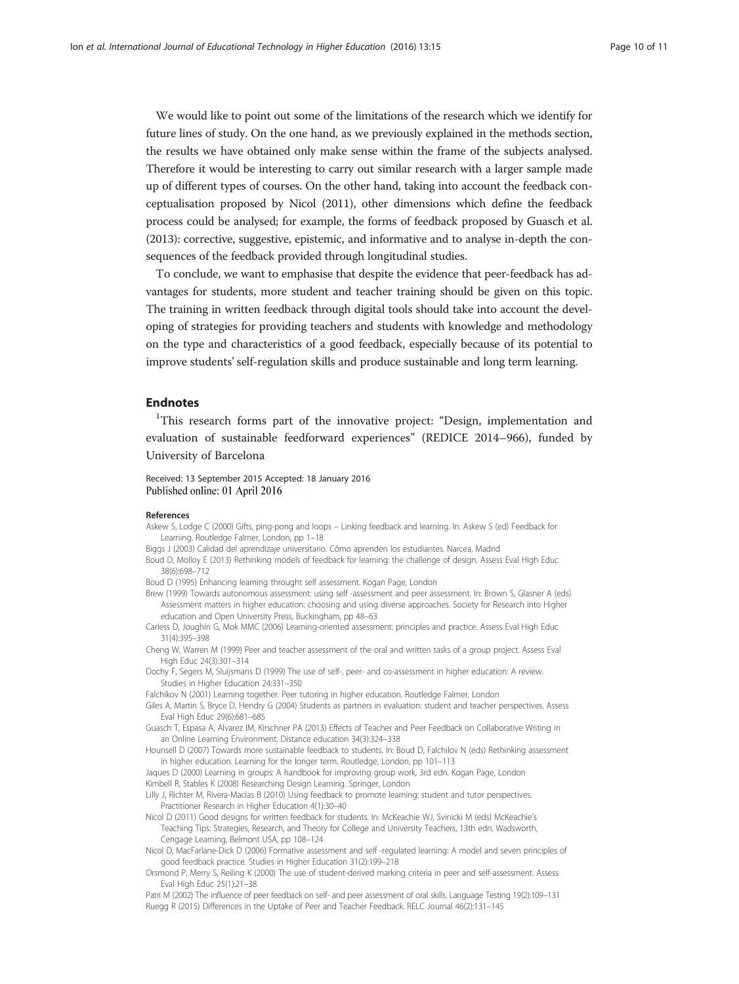<span id="page-9-0"></span>We would like to point out some of the limitations of the research which we identify for future lines of study. On the one hand, as we previously explained in the methods section, the results we have obtained only make sense within the frame of the subjects analysed. Therefore it would be interesting to carry out similar research with a larger sample made up of different types of courses. On the other hand, taking into account the feedback conceptualisation proposed by Nicol (2011), other dimensions which define the feedback process could be analysed; for example, the forms of feedback proposed by Guasch et al. (2013): corrective, suggestive, epistemic, and informative and to analyse in-depth the consequences of the feedback provided through longitudinal studies.

To conclude, we want to emphasise that despite the evidence that peer-feedback has advantages for students, more student and teacher training should be given on this topic. The training in written feedback through digital tools should take into account the developing of strategies for providing teachers and students with knowledge and methodology on the type and characteristics of a good feedback, especially because of its potential to improve students' self-regulation skills and produce sustainable and long term learning.

#### Endnotes

<sup>1</sup>This research forms part of the innovative project: "Design, implementation and evaluation of sustainable feedforward experiences" (REDICE 2014–966), funded by University of Barcelona

Received: 13 September 2015 Accepted: 18 January 2016 Published online: 01 April 2016

#### References

- Askew S, Lodge C (2000) Gifts, ping-pong and loops Linking feedback and learning. In: Askew S (ed) Feedback for Learning. Routledge Falmer, London, pp 1–18
- Biggs J (2003) Calidad del aprendizaje universitario. Cómo aprenden los estudiantes. Narcea, Madrid
- Boud D, Molloy E (2013) Rethinking models of feedback for learning: the challenge of design. Assess Eval High Educ 38(6):698–712
- Boud D (1995) Enhancing learning throught self assessment. Kogan Page, London
- Brew (1999) Towards autonomous assessment: using self -assessment and peer assessment. In: Brown S, Glasner A (eds) Assessment matters in higher education: choosing and using diverse approaches. Society for Research into Higher education and Open University Press, Buckingham, pp 48–63
- Carless D, Joughin G, Mok MMC (2006) Learning-oriented assessment: principles and practice. Assess Eval High Educ 31(4):395–398
- Cheng W, Warren M (1999) Peer and teacher assessment of the oral and written tasks of a group project. Assess Eval High Educ 24(3):301–314
- Dochy F, Segers M, Sluijsmans D (1999) The use of self-, peer- and co-assessment in higher education: A review. Studies in Higher Education 24:331–350
- Falchikov N (2001) Learning together. Peer tutoring in higher education. Routledge Falmer, London
- Giles A, Martin S, Bryce D, Hendry G (2004) Students as partners in evaluation: student and teacher perspectives. Assess Eval High Educ 29(6):681–685
- Guasch T, Espasa A, Alvarez IM, Kirschner PA (2013) Effects of Teacher and Peer Feedback on Collaborative Writing in an Online Learning Environment. Distance education 34(3):324–338

Hounsell D (2007) Towards more sustainable feedback to students. In: Boud D, Falchilov N (eds) Rethinking assessment in higher education. Learning for the longer term. Routledge, London, pp 101–113

Jaques D (2000) Learning in groups: A handbook for improving group work, 3rd edn. Kogan Page, London Kimbell R, Stables K (2008) Researching Design Learning. Springer, London

Lilly J, Richter M, Rivera-Macias B (2010) Using feedback to promote learning: student and tutor perspectives. Practitioner Research in Higher Education 4(1):30–40

Nicol D (2011) Good designs for written feedback for students. In: McKeachie WJ, Svinicki M (eds) McKeachie's Teaching Tips: Strategies, Research, and Theory for College and University Teachers, 13th edn. Wadsworth, Cengage Learning, Belmont USA, pp 108–124

- Nicol D, MacFarlane-Dick D (2006) Formative assessment and self -regulated learning: A model and seven principles of good feedback practice. Studies in Higher Education 31(2):199–218
- Orsmond P, Merry S, Reiling K (2000) The use of student-derived marking criteria in peer and self-assessment. Assess Eval High Educ 25(1):21–38

Patri M (2002) The influence of peer feedback on self- and peer assessment of oral skills. Language Testing 19(2):109–131 Ruegg R (2015) Differences in the Uptake of Peer and Teacher Feedback. RELC Journal 46(2):131–145